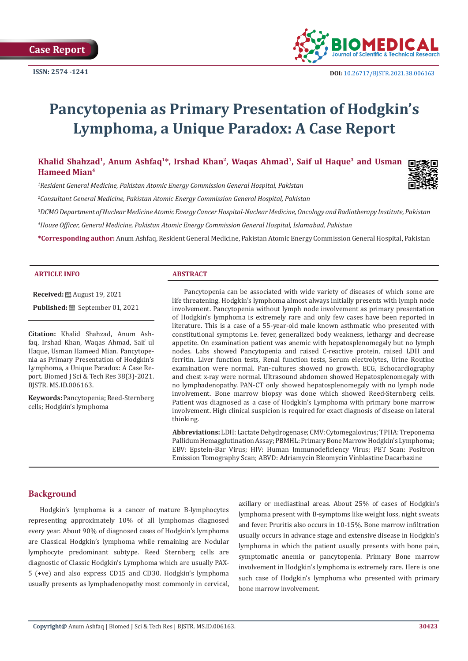

# **Pancytopenia as Primary Presentation of Hodgkin's Lymphoma, a Unique Paradox: A Case Report**

**Khalid Shahzad1, Anum Ashfaq1\*, Irshad Khan2, Waqas Ahmad1, Saif ul Haque3 and Usman Hameed Mian4**

*1 Resident General Medicine, Pakistan Atomic Energy Commission General Hospital, Pakistan*

*2 Consultant General Medicine, Pakistan Atomic Energy Commission General Hospital, Pakistan*

*3 DCMO Department of Nuclear Medicine Atomic Energy Cancer Hospital-Nuclear Medicine, Oncology and Radiotherapy Institute, Pakistan*

*4 House Officer, General Medicine, Pakistan Atomic Energy Commission General Hospital, Islamabad, Pakistan*

**\*Corresponding author:** Anum Ashfaq, Resident General Medicine, Pakistan Atomic Energy Commission General Hospital, Pakistan

#### **ARTICLE INFO ABSTRACT**

**Received:** August 19, 2021

**Published:** ■ September 01, 2021

**Citation:** Khalid Shahzad, Anum Ashfaq, Irshad Khan, Waqas Ahmad, Saif ul Haque, Usman Hameed Mian. Pancytopenia as Primary Presentation of Hodgkin's Lymphoma, a Unique Paradox: A Case Report. Biomed J Sci & Tech Res 38(3)-2021. BJSTR. MS.ID.006163.

**Keywords:** Pancytopenia; Reed-Sternberg cells; Hodgkin's lymphoma

Pancytopenia can be associated with wide variety of diseases of which some are life threatening. Hodgkin's lymphoma almost always initially presents with lymph node involvement. Pancytopenia without lymph node involvement as primary presentation of Hodgkin's lymphoma is extremely rare and only few cases have been reported in literature. This is a case of a 55-year-old male known asthmatic who presented with constitutional symptoms i.e. fever, generalized body weakness, lethargy and decrease appetite. On examination patient was anemic with hepatosplenomegaly but no lymph nodes. Labs showed Pancytopenia and raised C-reactive protein, raised LDH and ferritin. Liver function tests, Renal function tests, Serum electrolytes, Urine Routine examination were normal. Pan-cultures showed no growth. ECG, Echocardiography and chest x-ray were normal. Ultrasound abdomen showed Hepatosplenomegaly with no lymphadenopathy. PAN-CT only showed hepatosplenomegaly with no lymph node involvement. Bone marrow biopsy was done which showed Reed-Sternberg cells. Patient was diagnosed as a case of Hodgkin's Lymphoma with primary bone marrow involvement. High clinical suspicion is required for exact diagnosis of disease on lateral thinking.

**Abbreviations:** LDH: Lactate Dehydrogenase; CMV: Cytomegalovirus; TPHA: Treponema Pallidum Hemagglutination Assay; PBMHL: Primary Bone Marrow Hodgkin's Lymphoma; EBV: Epstein-Bar Virus; HIV: Human Immunodeficiency Virus; PET Scan: Positron Emission Tomography Scan; ABVD: Adriamycin Bleomycin Vinblastine Dacarbazine

## **Background**

Hodgkin's lymphoma is a cancer of mature B-lymphocytes representing approximately 10% of all lymphomas diagnosed every year. About 90% of diagnosed cases of Hodgkin's lymphoma are Classical Hodgkin's lymphoma while remaining are Nodular lymphocyte predominant subtype. Reed Sternberg cells are diagnostic of Classic Hodgkin's Lymphoma which are usually PAX-5 (+ve) and also express CD15 and CD30. Hodgkin's lymphoma usually presents as lymphadenopathy most commonly in cervical, axillary or mediastinal areas. About 25% of cases of Hodgkin's lymphoma present with B-symptoms like weight loss, night sweats and fever. Pruritis also occurs in 10-15%. Bone marrow infiltration usually occurs in advance stage and extensive disease in Hodgkin's lymphoma in which the patient usually presents with bone pain, symptomatic anemia or pancytopenia. Primary Bone marrow involvement in Hodgkin's lymphoma is extremely rare. Here is one such case of Hodgkin's lymphoma who presented with primary bone marrow involvement.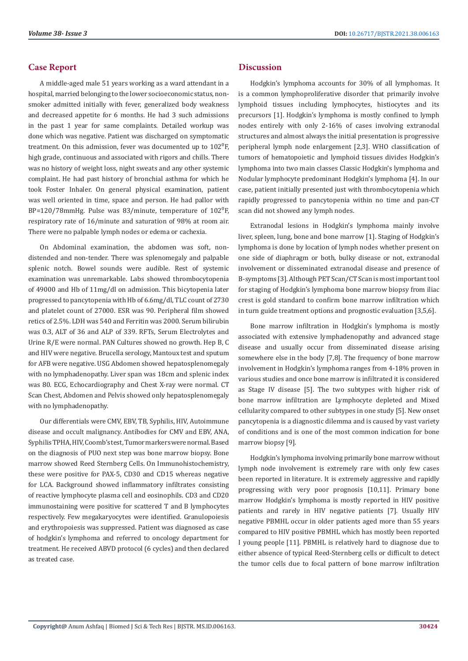# **Case Report**

A middle-aged male 51 years working as a ward attendant in a hospital, married belonging to the lower socioeconomic status, nonsmoker admitted initially with fever, generalized body weakness and decreased appetite for 6 months. He had 3 such admissions in the past 1 year for same complaints. Detailed workup was done which was negative. Patient was discharged on symptomatic treatment. On this admission, fever was documented up to  $102^{\circ}$ F, high grade, continuous and associated with rigors and chills. There was no history of weight loss, night sweats and any other systemic complaint. He had past history of bronchial asthma for which he took Foster Inhaler. On general physical examination, patient was well oriented in time, space and person. He had pallor with BP=120/78mmHg. Pulse was  $83/m$ inute, temperature of  $102^0$ F, respiratory rate of 16/minute and saturation of 98% at room air. There were no palpable lymph nodes or edema or cachexia.

On Abdominal examination, the abdomen was soft, nondistended and non-tender. There was splenomegaly and palpable splenic notch. Bowel sounds were audible. Rest of systemic examination was unremarkable. Labs showed thrombocytopenia of 49000 and Hb of 11mg/dl on admission. This bicytopenia later progressed to pancytopenia with Hb of 6.6mg/dl, TLC count of 2730 and platelet count of 27000. ESR was 90. Peripheral film showed retics of 2.5%. LDH was 540 and Ferritin was 2000. Serum bilirubin was 0.3, ALT of 36 and ALP of 339. RFTs, Serum Electrolytes and Urine R/E were normal. PAN Cultures showed no growth. Hep B, C and HIV were negative. Brucella serology, Mantoux test and sputum for AFB were negative. USG Abdomen showed hepatosplenomegaly with no lymphadenopathy. Liver span was 18cm and splenic index was 80. ECG, Echocardiography and Chest X-ray were normal. CT Scan Chest, Abdomen and Pelvis showed only hepatosplenomegaly with no lymphadenopathy.

Our differentials were CMV, EBV, TB, Syphilis, HIV, Autoimmune disease and occult malignancy. Antibodies for CMV and EBV, ANA, Syphilis TPHA, HIV, Coomb's test, Tumor markers were normal. Based on the diagnosis of PUO next step was bone marrow biopsy. Bone marrow showed Reed Sternberg Cells. On Immunohistochemistry, these were positive for PAX-5, CD30 and CD15 whereas negative for LCA. Background showed inflammatory infiltrates consisting of reactive lymphocyte plasma cell and eosinophils. CD3 and CD20 immunostaining were positive for scattered T and B lymphocytes respectively. Few megakaryocytes were identified. Granulopoiesis and erythropoiesis was suppressed. Patient was diagnosed as case of hodgkin's lymphoma and referred to oncology department for treatment. He received ABVD protocol (6 cycles) and then declared as treated case.

## **Discussion**

Hodgkin's lymphoma accounts for 30% of all lymphomas. It is a common lymphoproliferative disorder that primarily involve lymphoid tissues including lymphocytes, histiocytes and its precursors [1]. Hodgkin's lymphoma is mostly confined to lymph nodes entirely with only 2-16% of cases involving extranodal structures and almost always the initial presentation is progressive peripheral lymph node enlargement [2,3]. WHO classification of tumors of hematopoietic and lymphoid tissues divides Hodgkin's lymphoma into two main classes Classic Hodgkin's lymphoma and Nodular lymphocyte predominant Hodgkin's lymphoma [4]. In our case, patient initially presented just with thrombocytopenia which rapidly progressed to pancytopenia within no time and pan-CT scan did not showed any lymph nodes.

Extranodal lesions in Hodgkin's lymphoma mainly involve liver, spleen, lung, bone and bone marrow [1]. Staging of Hodgkin's lymphoma is done by location of lymph nodes whether present on one side of diaphragm or both, bulky disease or not, extranodal involvement or disseminated extranodal disease and presence of B-symptoms [3]. Although PET Scan/CT Scan is most important tool for staging of Hodgkin's lymphoma bone marrow biopsy from iliac crest is gold standard to confirm bone marrow infiltration which in turn guide treatment options and prognostic evaluation [3,5,6].

Bone marrow infiltration in Hodgkin's lymphoma is mostly associated with extensive lymphadenopathy and advanced stage disease and usually occur from disseminated disease arising somewhere else in the body [7,8]. The frequency of bone marrow involvement in Hodgkin's lymphoma ranges from 4-18% proven in various studies and once bone marrow is infiltrated it is considered as Stage IV disease [5]. The two subtypes with higher risk of bone marrow infiltration are Lymphocyte depleted and Mixed cellularity compared to other subtypes in one study [5]. New onset pancytopenia is a diagnostic dilemma and is caused by vast variety of conditions and is one of the most common indication for bone marrow biopsy [9].

Hodgkin's lymphoma involving primarily bone marrow without lymph node involvement is extremely rare with only few cases been reported in literature. It is extremely aggressive and rapidly progressing with very poor prognosis [10,11]. Primary bone marrow Hodgkin's lymphoma is mostly reported in HIV positive patients and rarely in HIV negative patients [7]. Usually HIV negative PBMHL occur in older patients aged more than 55 years compared to HIV positive PBMHL which has mostly been reported I young people [11]. PBMHL is relatively hard to diagnose due to either absence of typical Reed-Sternberg cells or difficult to detect the tumor cells due to focal pattern of bone marrow infiltration